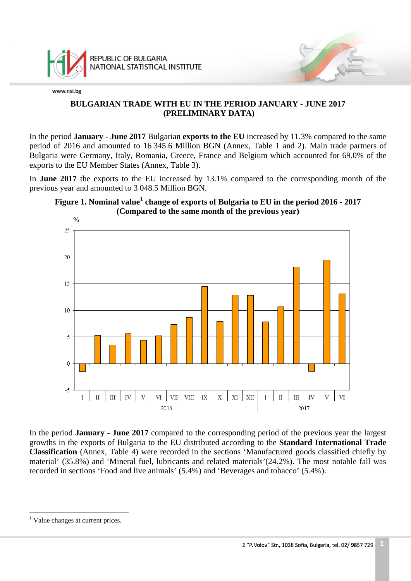

# **BULGARIAN TRADE WITH EU IN THE PERIOD JANUARY - JUNE 2017 (PRELIMINARY DATA)**

In the period **January - June 2017** Bulgarian **exports to the EU** increased by 11.3% compared to the same period of 2016 and amounted to 16 345.6 Million BGN (Annex, Table 1 and 2). Main trade partners of Bulgaria were Germany, Italy, Romania, Greece, France and Belgium which accounted for 69.0% of the exports to the EU Member States (Annex, Table 3).

In **June 2017** the exports to the EU increased by 13.1% compared to the corresponding month of the previous year and amounted to 3 048.5 Million BGN.





In the period **January - June 2017** compared to the corresponding period of the previous year the largest growths in the exports of Bulgaria to the EU distributed according to the **Standard International Trade Classification** (Annex, Table 4) were recorded in the sections 'Manufactured goods classified chiefly by material' (35.8%) and 'Mineral fuel, lubricants and related materials'(24.2%). The most notable fall was recorded in sections 'Food and live animals' (5.4%) and 'Beverages and tobacco' (5.4%).

<span id="page-0-1"></span><span id="page-0-0"></span> $\frac{1}{\sqrt{2}}$ <sup>1</sup> Value changes at current prices.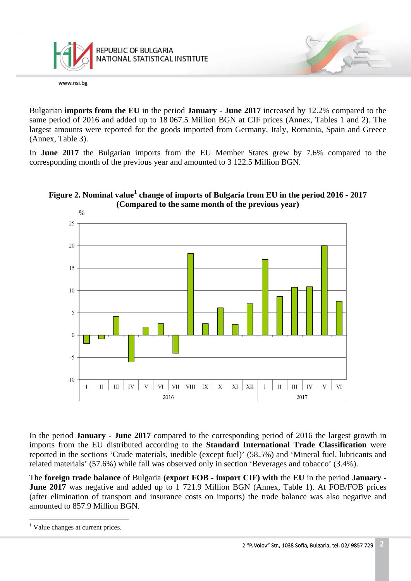

Bulgarian **imports from the EU** in the period **January - June 2017** increased by 12.2% compared to the same period of 2016 and added up to 18 067.5 Million BGN at CIF prices (Annex, Tables 1 and 2). The largest amounts were reported for the goods imported from Germany, Italy, Romania, Spain and Greece (Annex, Table 3).

In **June 2017** the Bulgarian imports from the EU Member States grew by 7.6% compared to the corresponding month of the previous year and amounted to 3 122.5 Million BGN.



# **Figure 2. Nominal value[1](#page-0-1) change of imports of Bulgaria from EU in the period 2016 - 2017 (Compared to the same month of the previous year)**

In the period **January - June 2017** compared to the corresponding period of 2016 the largest growth in imports from the EU distributed according to the **Standard International Trade Classification** were reported in the sections 'Crude materials, inedible (except fuel)' (58.5%) and 'Mineral fuel, lubricants and related materials' (57.6%) while fall was observed only in section 'Beverages and tobacco' (3.4%).

The **foreign trade balance** of Bulgaria **(export FOB - import CIF) with** the **EU** in the period **January - June 2017** was negative and added up to 1 721.9 Million BGN (Annex, Table 1). At FOB/FOB prices (after elimination of transport and insurance costs on imports) the trade balance was also negative and amounted to 857.9 Million BGN.

 $\frac{1}{\sqrt{2}}$ <sup>1</sup> Value changes at current prices.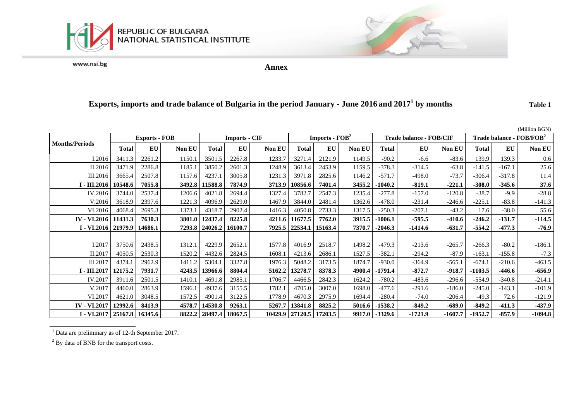



**Annex**

# **Exports, imports and trade balance of Bulgaria in the period January - June 2016 and 20171 by months Table 1**

|                                 |                      |           |               |                      |           |        |                                    |           |               |                         |           |               |                                      |           | (Million BGN) |
|---------------------------------|----------------------|-----------|---------------|----------------------|-----------|--------|------------------------------------|-----------|---------------|-------------------------|-----------|---------------|--------------------------------------|-----------|---------------|
|                                 | <b>Exports - FOB</b> |           |               | <b>Imports - CIF</b> |           |        | <b>Imports - <math>FOB2</math></b> |           |               | Trade balance - FOB/CIF |           |               | Trade balance - FOB/FOB <sup>2</sup> |           |               |
| <b>Months/Periods</b>           | <b>Total</b>         | <b>EU</b> | <b>Non EU</b> | Total                | <b>EU</b> | Non EU | Total                              | <b>EU</b> | <b>Non EU</b> | Total                   | <b>EU</b> | <b>Non EU</b> | <b>Total</b>                         | <b>EU</b> | <b>Non EU</b> |
| I.2016                          | 3411.3               | 2261.2    | 1150.1        | 3501.5               | 2267.8    | 1233.7 | 3271.4                             | 2121.9    | 1149.5        | $-90.2$                 | $-6.6$    | $-83.6$       | 139.9                                | 139.3     | 0.6           |
| II.2016                         | 3471.9               | 2286.8    | 1185.1        | 3850.2               | 2601.3    | 1248.9 | 3613.4                             | 2453.9    | 1159.5        | $-378.3$                | $-314.5$  | $-63.8$       | $-141.5$                             | $-167.1$  | 25.6          |
| III.2016                        | 3665.4               | 2507.8    | 1157.6        | 4237.1               | 3005.8    | 1231.3 | 3971.8                             | 2825.6    | 1146.2        | $-571.7$                | $-498.0$  | $-73.7$       | $-306.4$                             | $-317.8$  | 11.4          |
| I - III.2016                    | 10548.6              | 7055.8    | 3492.8        | 11588.8              | 7874.9    | 3713.9 | 10856.6                            | 7401.4    | 3455.2        | $-1040.2$               | $-819.1$  | $-221.1$      | $-308.0$                             | $-345.6$  | 37.6          |
| IV.2016                         | 3744.0               | 2537.4    | 1206.6        | 4021.8               | 2694.4    | 1327.4 | 3782.7                             | 2547.3    | 1235.4        | $-277.8$                | $-157.0$  | $-120.8$      | $-38.7$                              | $-9.9$    | $-28.8$       |
| V.2016                          | 3618.9               | 2397.6    | 1221.3        | 4096.9               | 2629.0    | 1467.9 | 3844.0                             | 2481.4    | 1362.6        | $-478.0$                | $-231.4$  | $-246.6$      | $-225.1$                             | $-83.8$   | $-141.3$      |
| VI.2016                         | 4068.4               | 2695.3    | 1373.1        | 4318.7               | 2902.4    | 1416.3 | 4050.8                             | 2733.3    | 1317.5        | $-250.3$                | $-207.1$  | $-43.2$       | 17.6                                 | $-38.0$   | 55.6          |
| <b>IV</b> - VI.2016             | 11431.3              | 7630.3    | <b>3801.0</b> | 12437.4              | 8225.8    | 4211.6 | 11677.5                            | 7762.0    | 3915.5        | $-1006.1$               | $-595.5$  | $-410.6$      | $-246.2$                             | $-131.7$  | $-114.5$      |
| I - VI.2016   21979.9           |                      | 14686.1   | 7293.8        | 24026.2              | 16100.7   | 7925.5 | 22534.1                            | 15163.4   | 7370.7        | $-2046.3$               | $-1414.6$ | $-631.7$      | $-554.2$                             | $-477.3$  | $-76.9$       |
|                                 |                      |           |               |                      |           |        |                                    |           |               |                         |           |               |                                      |           |               |
| I.2017                          | 3750.6               | 2438.5    | 1312.1        | 4229.9               | 2652.1    | 1577.8 | 4016.9                             | 2518.7    | 1498.2        | $-479.3$                | $-213.6$  | $-265.7$      | $-266.3$                             | $-80.2$   | $-186.1$      |
| II.2017                         | 4050.5               | 2530.3    | 1520.2        | 4432.6               | 2824.5    | 1608.1 | 4213.6                             | 2686.1    | 1527.5        | $-382.1$                | $-294.2$  | $-87.9$       | $-163.1$                             | $-155.8$  | $-7.3$        |
| III.2017                        | 4374.1               | 2962.9    | 1411.2        | 5304.1               | 3327.8    | 1976.3 | 5048.2                             | 3173.5    | 1874.7        | $-930.0$                | $-364.9$  | $-565.1$      | $-674.1$                             | $-210.6$  | $-463.5$      |
| $I - III.2017$                  | 12175.2              | 7931.7    | 4243.5        | 13966.6              | 8804.4    | 5162.2 | 13278.7                            | 8378.3    | 4900.4        | $-1791.4$               | $-872.7$  | $-918.7$      | $-1103.5$                            | -446.6    | $-656.9$      |
| IV.2017                         | 3911.6               | 2501.5    | 1410.1        | 4691.8               | 2985.1    | 1706.7 | 4466.5                             | 2842.3    | 1624.2        | $-780.2$                | $-483.6$  | $-296.6$      | $-554.9$                             | $-340.8$  | $-214.1$      |
| V.2017                          | 4460.0               | 2863.9    | 1596.1        | 4937.6               | 3155.5    | 1782.1 | 4705.0                             | 3007.0    | 1698.0        | $-477.6$                | $-291.6$  | $-186.0$      | $-245.0$                             | $-143.1$  | $-101.9$      |
| VI.2017                         | 4621.0               | 3048.5    | 1572.5        | 4901.4               | 3122.5    | 1778.9 | 4670.3                             | 2975.9    | 1694.4        | $-280.4$                | $-74.0$   | $-206.4$      | $-49.3$                              | 72.6      | $-121.9$      |
| <b>IV - VI.2017</b>             | 12992.6              | 8413.9    | 4578.7        | 14530.8              | 9263.1    | 5267.7 | 13841.8                            | 8825.2    | 5016.6        | $-1538.2$               | $-849.2$  | $-689.0$      | $-849.2$                             | $-411.3$  | $-437.9$      |
| I - VI.2017   25167.8   16345.6 |                      |           |               | 8822.2 28497.4       | 18067.5   |        | 10429.9   27120.5   17203.5        |           | 9917.0        | $-3329.6$               | $-1721.9$ | $-1607.7$     | $-1952.7$                            | $-857.9$  | $-1094.8$     |

<sup>1</sup> Data are preliminary as of 12-th September 2017.

<sup>&</sup>lt;sup>2</sup> By data of BNB for the transport costs.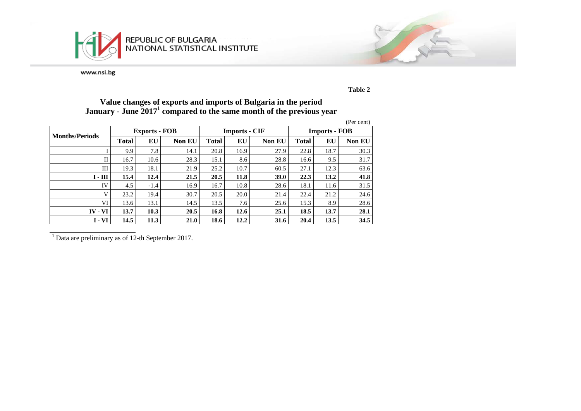



**Table 2**

# **Value changes of exports and imports of Bulgaria in the period January - June 20171 compared to the same month of the previous year**

|                       |              |                      |               |              |                      |               |                      |      | (Per cent)    |  |
|-----------------------|--------------|----------------------|---------------|--------------|----------------------|---------------|----------------------|------|---------------|--|
| <b>Months/Periods</b> |              | <b>Exports - FOB</b> |               |              | <b>Imports - CIF</b> |               | <b>Imports - FOB</b> |      |               |  |
|                       | <b>Total</b> | EU                   | <b>Non EU</b> | <b>Total</b> | EU                   | <b>Non EU</b> | <b>Total</b>         | EU   | <b>Non EU</b> |  |
|                       | 9.9          | 7.8                  | 14.1          | 20.8         | 16.9                 | 27.9          | 22.8                 | 18.7 | 30.3          |  |
| П                     | 16.7         | 10.6                 | 28.3          | 15.1         | 8.6                  | 28.8          | 16.6                 | 9.5  | 31.7          |  |
| Ш                     | 19.3         | 18.1                 | 21.9          | 25.2         | 10.7                 | 60.5          | 27.1                 | 12.3 | 63.6          |  |
| $I - III$             | 15.4         | 12.4                 | 21.5          | 20.5         | 11.8                 | <b>39.0</b>   | 22.3                 | 13.2 | 41.8          |  |
| IV                    | 4.5          | $-1.4$               | 16.9          | 16.7         | 10.8                 | 28.6          | 18.1                 | 11.6 | 31.5          |  |
| V                     | 23.2         | 19.4                 | 30.7          | 20.5         | 20.0                 | 21.4          | 22.4                 | 21.2 | 24.6          |  |
| VI                    | 13.6         | 13.1                 | 14.5          | 13.5         | 7.6                  | 25.6          | 15.3                 | 8.9  | 28.6          |  |
| $IV - VI$             | 13.7         | 10.3                 | 20.5          | 16.8         | 12.6                 | 25.1          | 18.5                 | 13.7 | 28.1          |  |
| $I - VI$              | 14.5         | 11.3                 | 21.0          | 18.6         | 12.2                 | 31.6          | 20.4                 | 13.5 | 34.5          |  |

<sup>1</sup> Data are preliminary as of 12-th September 2017.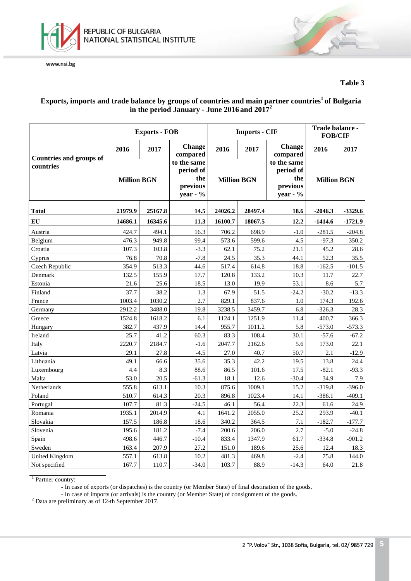

## **Table 3**

# Exports, imports and trade balance by groups of countries and main partner countries<sup>1</sup> of Bulgaria **in the period January - June 2016 and 2017<sup>2</sup>**

|                                |                    | <b>Exports - FOB</b> |                                                         |                    | <b>Imports - CIF</b> | Trade balance -<br><b>FOB/CIF</b>                          |                    |           |
|--------------------------------|--------------------|----------------------|---------------------------------------------------------|--------------------|----------------------|------------------------------------------------------------|--------------------|-----------|
| <b>Countries and groups of</b> | 2016               | 2017                 | <b>Change</b><br>compared                               | 2016               | 2017                 | <b>Change</b><br>compared                                  | 2016               | 2017      |
| countries                      | <b>Million BGN</b> |                      | to the same<br>period of<br>the<br>previous<br>year - % | <b>Million BGN</b> |                      | to the same<br>period of<br>the<br>previous<br>year - $\%$ | <b>Million BGN</b> |           |
| <b>Total</b>                   | 21979.9<br>25167.8 |                      | 14.5                                                    | 24026.2            | 28497.4              | 18.6                                                       | $-2046.3$          | $-3329.6$ |
| EU                             | 14686.1            | 16345.6              | 11.3                                                    | 16100.7            | 18067.5              | 12.2                                                       | $-1414.6$          | $-1721.9$ |
| Austria                        | 424.7              | 494.1                | 16.3                                                    | 706.2              | 698.9                | $-1.0$                                                     | $-281.5$           | $-204.8$  |
| Belgium                        | 476.3              | 949.8                | 99.4                                                    | 573.6              | 599.6                | 4.5                                                        | $-97.3$            | 350.2     |
| Croatia                        | 107.3              | 103.8                | $-3.3$                                                  | 62.1               | 75.2                 | 21.1                                                       | 45.2               | 28.6      |
| Cyprus                         | 76.8               | 70.8                 | $-7.8$                                                  | 24.5               | 35.3                 | 44.1                                                       | 52.3               | 35.5      |
| <b>Czech Republic</b>          | 354.9              | 513.3                | 44.6                                                    | 517.4              | 614.8                | 18.8                                                       | $-162.5$           | $-101.5$  |
| Denmark                        | 132.5              | 155.9                | 17.7                                                    | 120.8              | 133.2                | 10.3                                                       | 11.7               | 22.7      |
| Estonia                        | 21.6               | 25.6                 | 18.5                                                    | 13.0               | 19.9                 | 53.1                                                       | 8.6                | 5.7       |
| Finland                        | 37.7               | 38.2                 | 1.3                                                     | 67.9               | 51.5                 | $-24.2$                                                    | $-30.2$            | $-13.3$   |
| France                         | 1003.4             | 1030.2               | 2.7                                                     | 829.1              | 837.6                | 1.0                                                        | 174.3              | 192.6     |
| Germany                        | 2912.2             | 3488.0               | 19.8                                                    | 3238.5             | 3459.7               | 6.8                                                        | $-326.3$           | 28.3      |
| Greece                         | 1524.8             | 1618.2               | 6.1                                                     | 1124.1             | 1251.9               | 11.4                                                       | 400.7              | 366.3     |
| Hungary                        | 382.7              | 437.9                | 14.4                                                    | 955.7              | 1011.2               | 5.8                                                        | $-573.0$           | $-573.3$  |
| Ireland                        | 25.7               | 41.2                 | 60.3                                                    | 83.3               | 108.4                | 30.1                                                       | $-57.6$            | $-67.2$   |
| Italy                          | 2220.7             | 2184.7               | $-1.6$                                                  | 2047.7             | 2162.6               | 5.6                                                        | 173.0              | 22.1      |
| Latvia                         | 29.1               | 27.8                 | $-4.5$                                                  | 27.0               | 40.7                 | 50.7                                                       | 2.1                | $-12.9$   |
| Lithuania                      | 49.1               | 66.6                 | 35.6                                                    | 35.3               | 42.2                 | 19.5                                                       | 13.8               | 24.4      |
| Luxembourg                     | 4.4                | 8.3                  | 88.6                                                    | 86.5               | 101.6                | 17.5                                                       | $-82.1$            | $-93.3$   |
| Malta                          | 53.0               | 20.5                 | $-61.3$                                                 | 18.1               | 12.6                 | $-30.4$                                                    | 34.9               | 7.9       |
| Netherlands                    | 555.8              | 613.1                | 10.3                                                    | 875.6              | 1009.1               | 15.2                                                       | $-319.8$           | $-396.0$  |
| Poland                         | 510.7              | 614.3                | 20.3                                                    | 896.8              | 1023.4               | 14.1                                                       | $-386.1$           | $-409.1$  |
| Portugal                       | 107.7              | 81.3                 | $-24.5$                                                 | 46.1               | 56.4                 | 22.3                                                       | 61.6               | 24.9      |
| Romania                        | 1935.1             | 2014.9               | 4.1                                                     | 1641.2             | 2055.0               | 25.2                                                       | 293.9              | $-40.1$   |
| Slovakia                       | 157.5              | 186.8                | 18.6                                                    | 340.2              | 364.5                | 7.1                                                        | $-182.7$           | $-177.7$  |
| Slovenia                       | 195.6              | 181.2                | $-7.4$                                                  | 200.6              | 206.0                | 2.7                                                        | $-5.0$             | $-24.8$   |
| Spain                          | 498.6              | 446.7                | $-10.4$                                                 | 833.4              | 1347.9               | 61.7                                                       | $-334.8$           | $-901.2$  |
| Sweden                         | 163.4              | 207.9                | 27.2                                                    | 151.0              | 189.6                | 25.6                                                       | 12.4               | 18.3      |
| United Kingdom                 | 557.1              | 613.8                | 10.2                                                    | 481.3              | 469.8                | $-2.4$                                                     | 75.8               | 144.0     |
| Not specified                  | 167.7              | 110.7                | $-34.0$                                                 | 103.7              | 88.9                 | $-14.3$                                                    | 64.0               | 21.8      |

<sup>1</sup> Partner country:

- In case of exports (or dispatches) is the country (or Member State) of final destination of the goods.

- In case of imports (or arrivals) is the country (or Member State) of consignment of the goods. <sup>2</sup> Data are preliminary as of 12-th September 2017.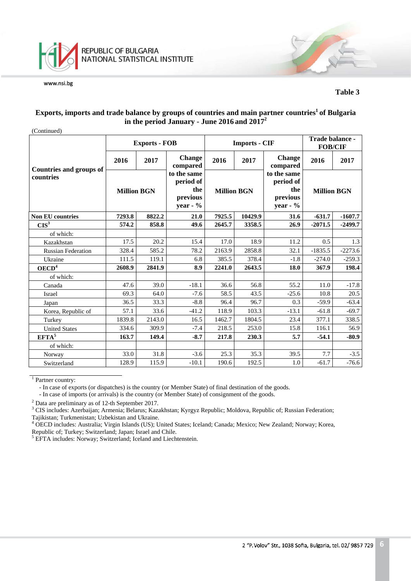

#### **Table 3**

## **Exports, imports and trade balance by groups of countries and main partner countries1 of Bulgaria in the period January - June 2016 and 2017<sup>2</sup>**

|                                |                    | <b>Exports - FOB</b> |                                                            |                    | <b>Imports - CIF</b> |                                                            | Trade balance -<br><b>FOB/CIF</b> |           |
|--------------------------------|--------------------|----------------------|------------------------------------------------------------|--------------------|----------------------|------------------------------------------------------------|-----------------------------------|-----------|
| <b>Countries and groups of</b> | 2016               | 2017                 | <b>Change</b><br>compared                                  | 2016               | 2017                 | <b>Change</b><br>compared                                  | 2016                              | 2017      |
| countries                      | <b>Million BGN</b> |                      | to the same<br>period of<br>the<br>previous<br>year - $\%$ | <b>Million BGN</b> |                      | to the same<br>period of<br>the<br>previous<br>year - $\%$ | <b>Million BGN</b>                |           |
| <b>Non EU countries</b>        | 7293.8             | 8822.2               | 21.0                                                       | 7925.5             | 10429.9              | 31.6                                                       | $-631.7$                          | $-1607.7$ |
| CIS <sup>3</sup>               | 574.2              | 858.8                | 49.6                                                       | 2645.7             | 3358.5               | 26.9                                                       | $-2071.5$                         | $-2499.7$ |
| of which:                      |                    |                      |                                                            |                    |                      |                                                            |                                   |           |
| Kazakhstan                     | 17.5               | 20.2                 | 15.4                                                       | 17.0               | 18.9                 | 11.2                                                       | 0.5                               | 1.3       |
| <b>Russian Federation</b>      | 328.4              | 585.2                | 78.2                                                       | 2163.9             | 2858.8               | 32.1                                                       | $-1835.5$                         | $-2273.6$ |
| Ukraine                        | 111.5              | 119.1                | 6.8                                                        | 385.5              | 378.4                | $-1.8$                                                     | $-274.0$                          | $-259.3$  |
| OECD <sup>4</sup>              | 2608.9             | 2841.9               | 8.9                                                        | 2241.0             | 2643.5               | 18.0                                                       | 367.9                             | 198.4     |
| of which:                      |                    |                      |                                                            |                    |                      |                                                            |                                   |           |
| Canada                         | 47.6               | 39.0                 | $-18.1$                                                    | 36.6               | 56.8                 | 55.2                                                       | 11.0                              | $-17.8$   |
| Israel                         | 69.3               | 64.0                 | $-7.6$                                                     | 58.5               | 43.5                 | $-25.6$                                                    | 10.8                              | 20.5      |
| Japan                          | 36.5               | 33.3                 | $-8.8$                                                     | 96.4               | 96.7                 | 0.3                                                        | $-59.9$                           | $-63.4$   |
| Korea, Republic of             | 57.1               | 33.6                 | $-41.2$                                                    | 118.9              | 103.3                | $-13.1$                                                    | $-61.8$                           | $-69.7$   |
| Turkey                         | 1839.8             | 2143.0               | 16.5                                                       | 1462.7             | 1804.5               | 23.4                                                       | 377.1                             | 338.5     |
| <b>United States</b>           | 334.6              | 309.9                | $-7.4$                                                     | 218.5              | 253.0                | 15.8                                                       | 116.1                             | 56.9      |
| $EFTA^5$                       | 163.7              | 149.4                | $-8.7$                                                     | 217.8              | 230.3                | 5.7                                                        | $-54.1$                           | $-80.9$   |
| of which:                      |                    |                      |                                                            |                    |                      |                                                            |                                   |           |
| Norway                         | 33.0               | 31.8                 | $-3.6$                                                     | 25.3               | 35.3                 | 39.5                                                       | 7.7                               | $-3.5$    |
| Switzerland                    | 128.9              | 115.9                | $-10.1$                                                    | 190.6              | 192.5                | 1.0                                                        | $-61.7$                           | $-76.6$   |

<sup>1</sup> Partner country:

- In case of exports (or dispatches) is the country (or Member State) of final destination of the goods.

- In case of imports (or arrivals) is the country (or Member State) of consignment of the goods.

<sup>2</sup> Data are preliminary as of 12-th September 2017.<br><sup>3</sup> CIS includes: Azerbaijan; Armenia; Belarus; Kazakhstan; Kyrgyz Republic; Moldova, Republic of; Russian Federation; Tajikistan; Turkmenistan; Uzbekistan and Ukraine.

<sup>4</sup> OECD includes: Australia; Virgin Islands (US); United States; Iceland; Canada; Mexico; New Zealand; Norway; Korea, Republic of; Turkey; Switzerland; Japan; Israel and Chile.

<sup>5</sup> EFTA includes: Norway; Switzerland; Iceland and Liechtenstein.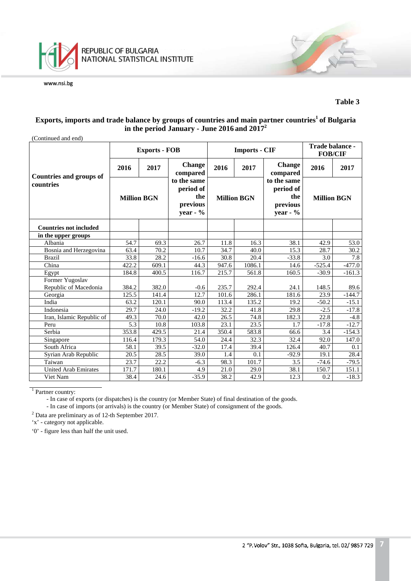

### **Table 3**

# **Exports, imports and trade balance by groups of countries and main partner countries<sup>1</sup> of Bulgaria in the period January - June 2016 and 2017<sup>2</sup>**

| (Continued and end)            |                    |                      |                                                           |                    |                      |                                                           |                                   |          |  |  |
|--------------------------------|--------------------|----------------------|-----------------------------------------------------------|--------------------|----------------------|-----------------------------------------------------------|-----------------------------------|----------|--|--|
|                                |                    | <b>Exports - FOB</b> |                                                           |                    | <b>Imports - CIF</b> |                                                           | Trade balance -<br><b>FOB/CIF</b> |          |  |  |
| <b>Countries and groups of</b> | 2016               | 2017                 | <b>Change</b><br>compared                                 | 2016               | 2017                 | <b>Change</b><br>compared                                 | 2016                              | 2017     |  |  |
| countries                      | <b>Million BGN</b> |                      | to the same<br>period of<br>the<br>previous<br>year - $%$ | <b>Million BGN</b> |                      | to the same<br>period of<br>the<br>previous<br>year - $%$ | <b>Million BGN</b>                |          |  |  |
| <b>Countries not included</b>  |                    |                      |                                                           |                    |                      |                                                           |                                   |          |  |  |
| in the upper groups            |                    |                      |                                                           |                    |                      |                                                           |                                   |          |  |  |
| Albania                        | 54.7               | 69.3                 | 26.7                                                      | 11.8               | 16.3                 | 38.1                                                      | 42.9                              | 53.0     |  |  |
| Bosnia and Herzegovina         | 63.4               | 70.2                 | 10.7                                                      | 34.7               | 40.0                 | 15.3                                                      | 28.7                              | 30.2     |  |  |
| <b>Brazil</b>                  | 33.8               | 28.2                 | $-16.6$                                                   | 30.8               | 20.4                 | $-33.8$                                                   | 3.0                               | 7.8      |  |  |
| China                          | 422.2              | 609.1                | 44.3                                                      | 947.6              | 1086.1               | 14.6                                                      | $-525.4$                          | $-477.0$ |  |  |
| Egypt                          | 184.8              | 400.5                | 116.7                                                     | 215.7              | 561.8                | 160.5                                                     | $-30.9$                           | $-161.3$ |  |  |
| Former Yugoslav                |                    |                      |                                                           |                    |                      |                                                           |                                   |          |  |  |
| Republic of Macedonia          | 384.2              | 382.0                | $-0.6$                                                    | 235.7              | 292.4                | 24.1                                                      | 148.5                             | 89.6     |  |  |
| Georgia                        | 125.5              | 141.4                | 12.7                                                      | 101.6              | 286.1                | 181.6                                                     | 23.9                              | $-144.7$ |  |  |
| India                          | 63.2               | 120.1                | 90.0                                                      | 113.4              | 135.2                | 19.2                                                      | $-50.2$                           | $-15.1$  |  |  |
| Indonesia                      | 29.7               | 24.0                 | $-19.2$                                                   | 32.2               | 41.8                 | 29.8                                                      | $-2.5$                            | $-17.8$  |  |  |
| Iran, Islamic Republic of      | 49.3               | 70.0                 | 42.0                                                      | 26.5               | 74.8                 | 182.3                                                     | 22.8                              | $-4.8$   |  |  |
| Peru                           | 5.3                | 10.8                 | 103.8                                                     | 23.1               | 23.5                 | 1.7                                                       | $-17.8$                           | $-12.7$  |  |  |
| Serbia                         | 353.8              | 429.5                | 21.4                                                      | 350.4              | 583.8                | 66.6                                                      | 3.4                               | $-154.3$ |  |  |
| Singapore                      | 116.4              | 179.3                | 54.0                                                      | 24.4               | 32.3                 | 32.4                                                      | 92.0                              | 147.0    |  |  |
| South Africa                   | 58.1               | 39.5                 | $-32.0$                                                   | 17.4               | 39.4                 | 126.4                                                     | 40.7                              | 0.1      |  |  |
| Syrian Arab Republic           | 20.5               | 28.5                 | 39.0                                                      | 1.4                | 0.1                  | $-92.9$                                                   | 19.1                              | 28.4     |  |  |
| Taiwan                         | 23.7               | 22.2                 | $-6.3$                                                    | 98.3               | 101.7                | 3.5                                                       | $-74.6$                           | $-79.5$  |  |  |
| <b>United Arab Emirates</b>    | 171.7              | 180.1                | 4.9                                                       | 21.0               | 29.0                 | 38.1                                                      | 150.7                             | 151.1    |  |  |
| Viet Nam                       | 38.4               | 24.6                 | $-35.9$                                                   | 38.2               | 42.9                 | 12.3                                                      | 0.2                               | $-18.3$  |  |  |

<sup>1</sup> Partner country:

- In case of exports (or dispatches) is the country (or Member State) of final destination of the goods.

- In case of imports (or arrivals) is the country (or Member State) of consignment of the goods.

<sup>2</sup> Data are preliminary as of 12-th September 2017.

'x' - category not applicable.

'0' - figure less than half the unit used.